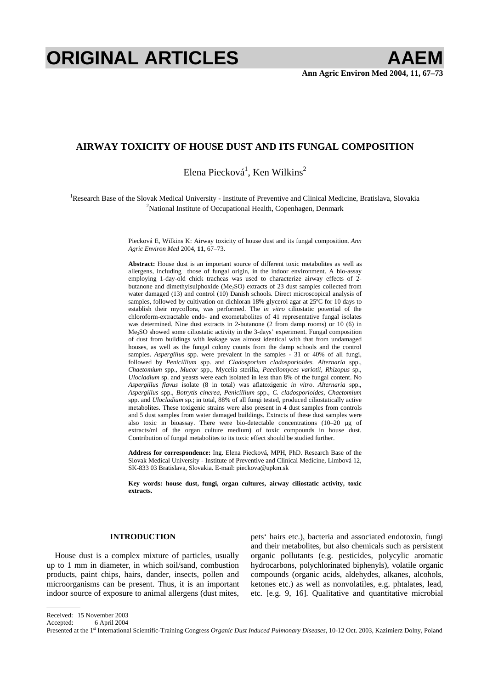# **ORIGINAL ARTICLES AAEM**

## **AIRWAY TOXICITY OF HOUSE DUST AND ITS FUNGAL COMPOSITION**

Elena Piecková<sup>1</sup>, Ken Wilkins<sup>2</sup>

<sup>1</sup>Research Base of the Slovak Medical University - Institute of Preventive and Clinical Medicine, Bratislava, Slovakia <sup>2</sup>National Institute of Occupational Health, Conceptional Degrees<sup>2</sup> <sup>2</sup>National Institute of Occupational Health, Copenhagen, Denmark

> Piecková E, Wilkins K: Airway toxicity of house dust and its fungal composition. *Ann Agric Environ Med* 2004, **11**, 67–73.

> **Abstract:** House dust is an important source of different toxic metabolites as well as allergens, including those of fungal origin, in the indoor environment. A bio-assay employing 1-day-old chick tracheas was used to characterize airway effects of 2 butanone and dimethylsulphoxide (Me2SO) extracts of 23 dust samples collected from water damaged (13) and control (10) Danish schools. Direct microscopical analysis of samples, followed by cultivation on dichloran 18% glycerol agar at 25<sup>o</sup>C for 10 days to establish their mycoflora, was performed. The *in vitro* ciliostatic potential of the chloroform-extractable endo- and exometabolites of 41 representative fungal isolates was determined. Nine dust extracts in 2-butanone (2 from damp rooms) or 10 (6) in Me2SO showed some ciliostatic activity in the 3-days' experiment. Fungal composition of dust from buildings with leakage was almost identical with that from undamaged houses, as well as the fungal colony counts from the damp schools and the control samples. *Aspergillus* spp. were prevalent in the samples - 31 or 40% of all fungi, followed by *Penicillium* spp. and *Cladosporium cladosporioides*. *Alternaria* spp., *Chaetomium* spp., *Mucor* spp., Mycelia sterilia, *Paecilomyces variotii*, *Rhizopus* sp., *Ulocladium* sp. and yeasts were each isolated in less than 8% of the fungal content. No *Aspergillus flavus* isolate (8 in total) was aflatoxigenic *in vitro*. *Alternaria* spp., *Aspergillus* spp., *Botrytis cinerea*, *Penicillium* spp., *C. cladosporioides*, *Chaetomium* spp. and *Ulocladium* sp.; in total, 88% of all fungi tested, produced ciliostatically active metabolites. These toxigenic strains were also present in 4 dust samples from controls and 5 dust samples from water damaged buildings. Extracts of these dust samples were also toxic in bioassay. There were bio-detectable concentrations (10–20 µg of extracts/ml of the organ culture medium) of toxic compounds in house dust. Contribution of fungal metabolites to its toxic effect should be studied further.

> **Address for correspondence:** Ing. Elena Piecková, MPH, PhD. Research Base of the Slovak Medical University - Institute of Preventive and Clinical Medicine, Limbová 12, SK-833 03 Bratislava, Slovakia. E-mail: pieckova@upkm.sk

> **Key words: house dust, fungi, organ cultures, airway ciliostatic activity, toxic extracts.**

## **INTRODUCTION**

House dust is a complex mixture of particles, usually up to 1 mm in diameter, in which soil/sand, combustion products, paint chips, hairs, dander, insects, pollen and microorganisms can be present. Thus, it is an important indoor source of exposure to animal allergens (dust mites, pets' hairs etc.), bacteria and associated endotoxin, fungi and their metabolites, but also chemicals such as persistent organic pollutants (e.g. pesticides, polycylic aromatic hydrocarbons, polychlorinated biphenyls), volatile organic compounds (organic acids, aldehydes, alkanes, alcohols, ketones etc.) as well as nonvolatiles, e.g. phtalates, lead, etc. [e.g. 9, 16]. Qualitative and quantitative microbial

Accepted: 6 April 2004

Presented at the 1st International Scientific-Training Congress *Organic Dust Induced Pulmonary Diseases*, 10-12 Oct. 2003, Kazimierz Dolny, Poland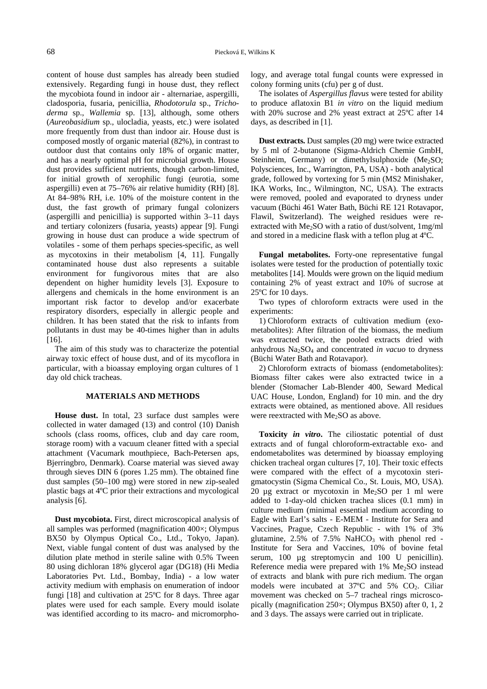content of house dust samples has already been studied extensively. Regarding fungi in house dust, they reflect the mycobiota found in indoor air - alternariae, aspergilli, cladosporia, fusaria, penicillia, *Rhodotorula* sp., *Trichoderma* sp., *Wallemia* sp. [13], although, some others (*Aureobasidium* sp., ulocladia, yeasts, etc.) were isolated more frequently from dust than indoor air. House dust is composed mostly of organic material (82%), in contrast to outdoor dust that contains only 18% of organic matter, and has a nearly optimal pH for microbial growth. House dust provides sufficient nutrients, though carbon-limited, for initial growth of xerophilic fungi (eurotia, some aspergilli) even at 75–76% air relative humidity (RH) [8]. At 84–98% RH, i.e. 10% of the moisture content in the dust, the fast growth of primary fungal colonizers (aspergilli and penicillia) is supported within 3–11 days and tertiary colonizers (fusaria, yeasts) appear [9]. Fungi growing in house dust can produce a wide spectrum of volatiles - some of them perhaps species-specific, as well as mycotoxins in their metabolism [4, 11]. Fungally contaminated house dust also represents a suitable environment for fungivorous mites that are also dependent on higher humidity levels [3]. Exposure to allergens and chemicals in the home environment is an important risk factor to develop and/or exacerbate respiratory disorders, especially in allergic people and children. It has been stated that the risk to infants from pollutants in dust may be 40-times higher than in adults [16].

The aim of this study was to characterize the potential airway toxic effect of house dust, and of its mycoflora in particular, with a bioassay employing organ cultures of 1 day old chick tracheas.

## **MATERIALS AND METHODS**

**House dust.** In total, 23 surface dust samples were collected in water damaged (13) and control (10) Danish schools (class rooms, offices, club and day care room, storage room) with a vacuum cleaner fitted with a special attachment (Vacumark mouthpiece, Bach-Petersen aps, Bjerringbro, Denmark). Coarse material was sieved away through sieves DIN 6 (pores 1.25 mm). The obtained fine dust samples (50–100 mg) were stored in new zip-sealed plastic bags at 4ºC prior their extractions and mycological analysis [6].

**Dust mycobiota.** First, direct microscopical analysis of all samples was performed (magnification 400×; Olympus BX50 by Olympus Optical Co., Ltd., Tokyo, Japan). Next, viable fungal content of dust was analysed by the dilution plate method in sterile saline with 0.5% Tween 80 using dichloran 18% glycerol agar (DG18) (Hi Media Laboratories Pvt. Ltd., Bombay, India) - a low water activity medium with emphasis on enumeration of indoor fungi [18] and cultivation at 25ºC for 8 days. Three agar plates were used for each sample. Every mould isolate was identified according to its macro- and micromorphology, and average total fungal counts were expressed in colony forming units (cfu) per g of dust.

The isolates of *Aspergillus flavus* were tested for ability to produce aflatoxin B1 *in vitro* on the liquid medium with 20% sucrose and 2% yeast extract at 25ºC after 14 days, as described in [1].

**Dust extracts.** Dust samples (20 mg) were twice extracted by 5 ml of 2-butanone (Sigma-Aldrich Chemie GmbH, Steinheim, Germany) or dimethylsulphoxide (Me<sub>2</sub>SO; Polysciences, Inc., Warrington, PA, USA) - both analytical grade, followed by vortexing for 5 min (MS2 Minishaker, IKA Works, Inc., Wilmington, NC, USA). The extracts were removed, pooled and evaporated to dryness under vacuum (Büchi 461 Water Bath, Büchi RE 121 Rotavapor, Flawil, Switzerland). The weighed residues were reextracted with Me<sub>2</sub>SO with a ratio of dust/solvent, 1mg/ml and stored in a medicine flask with a teflon plug at 4ºC.

**Fungal metabolites.** Forty-one representative fungal isolates were tested for the production of potentially toxic metabolites [14]. Moulds were grown on the liquid medium containing 2% of yeast extract and 10% of sucrose at 25ºC for 10 days.

Two types of chloroform extracts were used in the experiments:

1) Chloroform extracts of cultivation medium (exometabolites): After filtration of the biomass, the medium was extracted twice, the pooled extracts dried with anhydrous  $Na<sub>2</sub>SO<sub>4</sub>$  and concentrated *in vacuo* to dryness (Büchi Water Bath and Rotavapor).

2) Chloroform extracts of biomass (endometabolites): Biomass filter cakes were also extracted twice in a blender (Stomacher Lab-Blender 400, Seward Medical UAC House, London, England) for 10 min. and the dry extracts were obtained, as mentioned above. All residues were reextracted with Me<sub>2</sub>SO as above.

**Toxicity** *in vitro***.** The ciliostatic potential of dust extracts and of fungal chloroform-extractable exo- and endometabolites was determined by bioassay employing chicken tracheal organ cultures [7, 10]. Their toxic effects were compared with the effect of a mycotoxin sterigmatocystin (Sigma Chemical Co., St. Louis, MO, USA). 20  $\mu$ g extract or mycotoxin in Me<sub>2</sub>SO per 1 ml were added to 1-day-old chicken trachea slices (0.1 mm) in culture medium (minimal essential medium according to Eagle with Earl's salts - E-MEM - Institute for Sera and Vaccines, Prague, Czech Republic - with 1% of 3% glutamine,  $2.5\%$  of  $7.5\%$  NaHCO<sub>3</sub> with phenol red -Institute for Sera and Vaccines, 10% of bovine fetal serum, 100  $\mu$ g streptomycin and 100 U penicillin). Reference media were prepared with  $1\%$  Me<sub>2</sub>SO instead of extracts and blank with pure rich medium. The organ models were incubated at  $37^{\circ}$ C and  $5\%$  CO<sub>2</sub>. Ciliar movement was checked on 5–7 tracheal rings microscopically (magnification 250×; Olympus BX50) after 0, 1, 2 and 3 days. The assays were carried out in triplicate.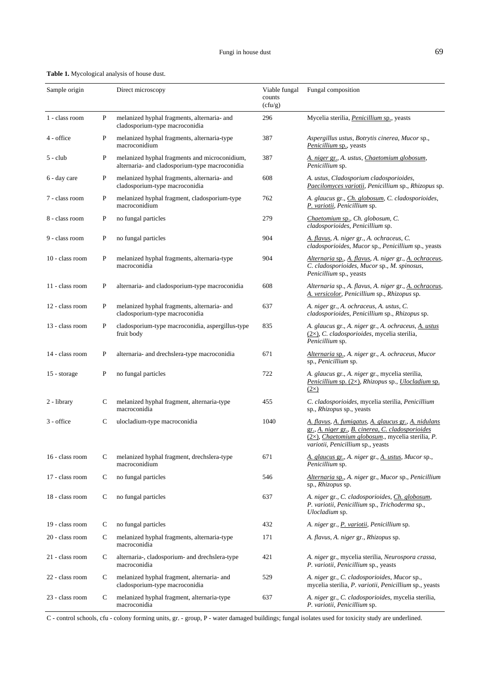| <b>Table 1.</b> Mycological analysis of house dust. |  |  |
|-----------------------------------------------------|--|--|
|                                                     |  |  |

| Sample origin   |   | Direct microscopy                                                                               | Viable fungal<br>counts<br>(cfu/g) | Fungal composition                                                                                                                                                                                         |
|-----------------|---|-------------------------------------------------------------------------------------------------|------------------------------------|------------------------------------------------------------------------------------------------------------------------------------------------------------------------------------------------------------|
| 1 - class room  | P | melanized hyphal fragments, alternaria- and<br>cladosporium-type macroconidia                   | 296                                | Mycelia sterilia, <i>Penicillium</i> sp., yeasts                                                                                                                                                           |
| 4 - office      | P | melanized hyphal fragments, alternaria-type<br>macroconidium                                    | 387                                | Aspergillus ustus, Botrytis cinerea, Mucor sp.,<br>Penicillium sp., yeasts                                                                                                                                 |
| $5 - club$      | P | melanized hyphal fragments and microconidium,<br>alternaria- and cladosporium-type macroconidia | 387                                | A. niger gr., A. ustus, Chaetomium globosum,<br>Penicillium sp.                                                                                                                                            |
| 6 - day care    | P | melanized hyphal fragments, alternaria- and<br>cladosporium-type macroconidia                   | 608                                | A. ustus, Cladosporium cladosporioides,<br>Paecilomyces variotii, Penicillium sp., Rhizopus sp.                                                                                                            |
| 7 - class room  | P | melanized hyphal fragment, cladosporium-type<br>macroconidium                                   | 762                                | A. glaucus gr., <i>Ch. globosum</i> , C. cladosporioides,<br>P. variotii, Penicillium sp.                                                                                                                  |
| 8 - class room  | P | no fungal particles                                                                             | 279                                | Chaetomium sp., Ch. globosum, C.<br>cladosporioides, Penicillium sp.                                                                                                                                       |
| 9 - class room  | P | no fungal particles                                                                             | 904                                | A. flavus, A. niger gr., A. ochraceus, C.<br>cladosporioides, Mucor sp., Penicillium sp., yeasts                                                                                                           |
| 10 - class room | P | melanized hyphal fragments, alternaria-type<br>macroconidia                                     | 904                                | Alternaria sp., A. flavus, A. niger gr., A. ochraceus,<br>C. cladosporioides, Mucor sp., M. spinosus,<br>Penicillium sp., yeasts                                                                           |
| 11 - class room | P | alternaria- and cladosporium-type macroconidia                                                  | 608                                | Alternaria sp., A. flavus, A. niger gr., A. ochraceus,<br>A. versicolor, Penicillium sp., Rhizopus sp.                                                                                                     |
| 12 - class room | P | melanized hyphal fragments, alternaria- and<br>cladosporium-type macroconidia                   | 637                                | A. niger gr., A. ochraceus, A. ustus, C.<br>cladosporioides, Penicillium sp., Rhizopus sp.                                                                                                                 |
| 13 - class room | P | cladosporium-type macroconidia, aspergillus-type<br>fruit body                                  | 835                                | A. glaucus gr., A. niger gr., A. ochraceus, A. ustus<br>(2x), C. cladosporioides, mycelia sterilia,<br>Penicillium sp.                                                                                     |
| 14 - class room | P | alternaria- and drechslera-type macroconidia                                                    | 671                                | Alternaria sp., A. niger gr., A. ochraceus, Mucor<br>sp., Penicillium sp.                                                                                                                                  |
| 15 - storage    | P | no fungal particles                                                                             | 722                                | A. glaucus gr., A. niger gr., mycelia sterilia,<br>Penicillium sp. $(2\times)$ , Rhizopus sp., Ulocladium sp.<br>$(2\times)$                                                                               |
| 2 - library     | C | melanized hyphal fragment, alternaria-type<br>macroconidia                                      | 455                                | C. cladosporioides, mycelia sterilia, Penicillium<br>sp., Rhizopus sp., yeasts                                                                                                                             |
| 3 - office      | C | ulocladium-type macroconidia                                                                    | 1040                               | A. flavus, A. fumigatus, A. glaucus gr., A. nidulans<br>gr., A. niger gr., B. cinerea, C. cladosporioides<br>$(2\times)$ , Chaetomium globosum., mycelia sterilia, P.<br>variotii, Penicillium sp., yeasts |
| 16 - class room | С | melanized hyphal fragment, drechslera-type<br>macroconidium                                     | 671                                | A. glaucus gr., A. niger gr., A. ustus, Mucor sp.,<br>Penicillium sp.                                                                                                                                      |
| 17 - class room | С | no fungal particles                                                                             | 546                                | Alternaria sp., A. niger gr., Mucor sp., Penicillium<br>sp., Rhizopus sp.                                                                                                                                  |
| 18 - class room | C | no fungal particles                                                                             | 637                                | A. niger gr., C. cladosporioides, Ch. globosum,<br>P. variotii, Penicillium sp., Trichoderma sp.,<br>Ulocladium sp.                                                                                        |
| 19 - class room | C | no fungal particles                                                                             | 432                                | A. niger gr., <i>P. variotii</i> , <i>Penicillium</i> sp.                                                                                                                                                  |
| 20 - class room | C | melanized hyphal fragments, alternaria-type<br>macroconidia                                     | 171                                | A. flavus, A. niger gr., Rhizopus sp.                                                                                                                                                                      |
| 21 - class room | С | alternaria-, cladosporium- and drechslera-type<br>macroconidia                                  | 421                                | A. niger gr., mycelia sterilia, Neurospora crassa,<br>P. variotii, Penicillium sp., yeasts                                                                                                                 |
| 22 - class room | С | melanized hyphal fragment, alternaria- and<br>cladosporium-type macroconidia                    | 529                                | A. niger gr., C. cladosporioides, Mucor sp.,<br>mycelia sterilia, P. variotii, Penicillium sp., yeasts                                                                                                     |
| 23 - class room | С | melanized hyphal fragment, alternaria-type<br>macroconidia                                      | 637                                | A. niger gr., C. cladosporioides, mycelia sterilia,<br>P. variotii, Penicillium sp.                                                                                                                        |

C - control schools, cfu - colony forming units, gr. - group, P - water damaged buildings; fungal isolates used for toxicity study are underlined.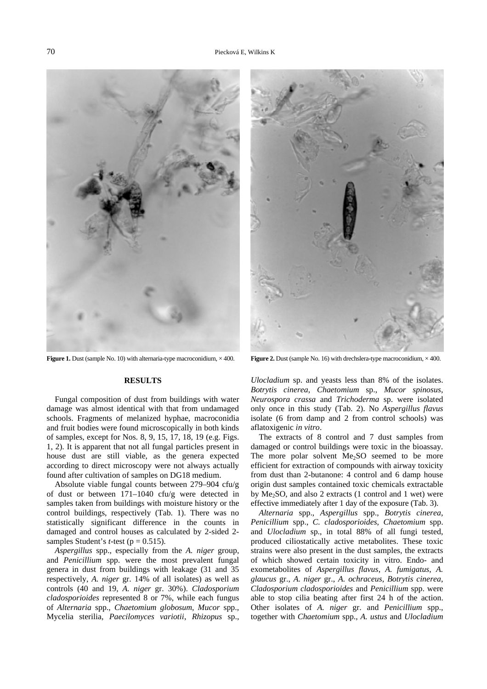

**Figure 1.** Dust (sample No. 10) with alternaria-type macroconidium,  $\times$  400. **Figure 2.** Dust (sample No. 16) with drechslera-type macroconidium,  $\times$  400.

## **RESULTS**

Fungal composition of dust from buildings with water damage was almost identical with that from undamaged schools. Fragments of melanized hyphae, macroconidia and fruit bodies were found microscopically in both kinds of samples, except for Nos. 8, 9, 15, 17, 18, 19 (e.g. Figs. 1, 2). It is apparent that not all fungal particles present in house dust are still viable, as the genera expected according to direct microscopy were not always actually found after cultivation of samples on DG18 medium.

Absolute viable fungal counts between 279–904 cfu/g of dust or between 171–1040 cfu/g were detected in samples taken from buildings with moisture history or the control buildings, respectively (Tab. 1). There was no statistically significant difference in the counts in damaged and control houses as calculated by 2-sided 2 samples Student's *t*-test ( $p = 0.515$ ).

*Aspergillus* spp., especially from the *A. niger* group, and *Penicillium* spp. were the most prevalent fungal genera in dust from buildings with leakage (31 and 35 respectively, *A. niger* gr. 14% of all isolates) as well as controls (40 and 19, *A. niger* gr. 30%). *Cladosporium cladosporioides* represented 8 or 7%, while each fungus of *Alternaria* spp., *Chaetomium globosum*, *Mucor* spp., Mycelia sterilia, *Paecilomyces variotii*, *Rhizopus* sp.,



*Ulocladium* sp. and yeasts less than 8% of the isolates. *Botrytis cinerea*, *Chaetomium* sp., *Mucor spinosus*, *Neurospora crassa* and *Trichoderma* sp. were isolated only once in this study (Tab. 2). No *Aspergillus flavus* isolate (6 from damp and 2 from control schools) was aflatoxigenic *in vitro*.

The extracts of 8 control and 7 dust samples from damaged or control buildings were toxic in the bioassay. The more polar solvent  $Me<sub>2</sub>SO$  seemed to be more efficient for extraction of compounds with airway toxicity from dust than 2-butanone: 4 control and 6 damp house origin dust samples contained toxic chemicals extractable by  $Me<sub>2</sub>SO$ , and also 2 extracts (1 control and 1 wet) were effective immediately after 1 day of the exposure (Tab. 3).

*Alternaria* spp., *Aspergillus* spp., *Botrytis cinerea*, *Penicillium* spp., *C. cladosporioides*, *Chaetomium* spp. and *Ulocladium* sp., in total 88% of all fungi tested, produced ciliostatically active metabolites. These toxic strains were also present in the dust samples, the extracts of which showed certain toxicity in vitro. Endo- and exometabolites of *Aspergillus flavus*, *A. fumigatus*, *A. glaucus* gr., *A. niger* gr., *A. ochraceus*, *Botrytis cinerea*, *Cladosporium cladosporioides* and *Penicillium* spp. were able to stop cilia beating after first 24 h of the action. Other isolates of *A. niger* gr. and *Penicillium* spp., together with *Chaetomium* spp., *A. ustus* and *Ulocladium*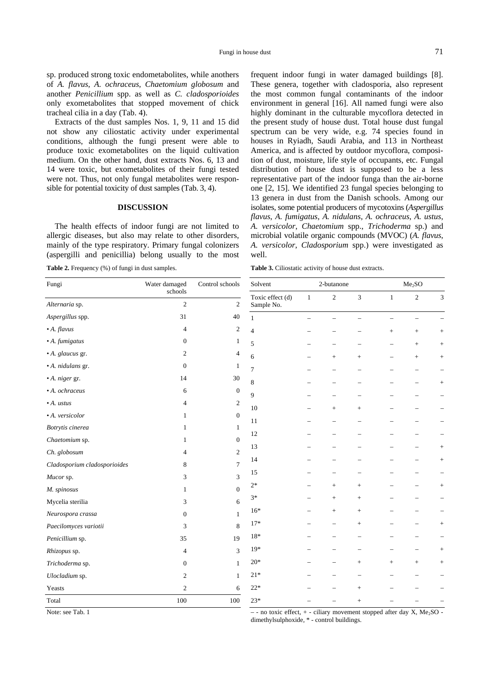Extracts of the dust samples Nos. 1, 9, 11 and 15 did not show any ciliostatic activity under experimental conditions, although the fungi present were able to produce toxic exometabolites on the liquid cultivation medium. On the other hand, dust extracts Nos. 6, 13 and 14 were toxic, but exometabolites of their fungi tested were not. Thus, not only fungal metabolites were responsible for potential toxicity of dust samples (Tab. 3, 4).

## **DISCUSSION**

The health effects of indoor fungi are not limited to allergic diseases, but also may relate to other disorders, mainly of the type respiratory. Primary fungal colonizers (aspergilli and penicillia) belong usually to the most

**Table 2.** Frequency (%) of fungi in dust samples.

frequent indoor fungi in water damaged buildings [8]. These genera, together with cladosporia, also represent the most common fungal contaminants of the indoor environment in general [16]. All named fungi were also highly dominant in the culturable mycoflora detected in the present study of house dust. Total house dust fungal spectrum can be very wide, e.g. 74 species found in houses in Ryiadh, Saudi Arabia, and 113 in Northeast America, and is affected by outdoor mycoflora, composition of dust, moisture, life style of occupants, etc. Fungal distribution of house dust is supposed to be a less representative part of the indoor funga than the air-borne one [2, 15]. We identified 23 fungal species belonging to 13 genera in dust from the Danish schools. Among our isolates, some potential producers of mycotoxins (*Aspergillus flavus*, *A. fumigatus*, *A. nidulans*, *A. ochraceus*, *A. ustus*, *A. versicolor*, *Chaetomium* spp., *Trichoderma* sp.) and microbial volatile organic compounds (MVOC) (*A. flavus*, *A. versicolor*, *Cladosporium* spp.) were investigated as well.

**Table 3.** Ciliostatic activity of house dust extracts.

| Fungi                        | Water damaged<br>schools | Control schools  | Solvent          | 2-butanone   |                |        | Me <sub>2</sub> SO |                |                             |
|------------------------------|--------------------------|------------------|------------------|--------------|----------------|--------|--------------------|----------------|-----------------------------|
|                              |                          |                  | Toxic effect (d) | $\mathbf{1}$ | $\mathfrak{2}$ | 3      | $\mathbf{1}$       | $\overline{c}$ | $\ensuremath{\mathfrak{Z}}$ |
| Alternaria sp.               | $\overline{2}$           | $\sqrt{2}$       | Sample No.       |              |                |        |                    |                |                             |
| Aspergillus spp.             | 31                       | 40               |                  |              |                |        |                    |                |                             |
| $\bullet$ A. flavus          | 4                        | $\overline{c}$   | $\overline{4}$   |              |                |        | $\! + \!\!\!\!$    | $^{+}$         | $\! + \!\!\!\!$             |
| · A. fumigatus               | $\mathbf{0}$             | 1                | 5                |              |                |        |                    | $^{+}$         | $\! + \!\!\!\!$             |
| · A. glaucus gr.             | 2                        | 4                | 6                |              | $^{+}$         | $^{+}$ |                    | $^{+}$         | $\! + \!\!\!\!$             |
| · A. nidulans gr.            | $\mathbf{0}$             | 1                | $\tau$           |              |                |        |                    |                |                             |
| · A. niger gr.               | 14                       | 30               | $\,8\,$          |              |                |        |                    |                | $\! + \!\!\!\!$             |
| · A. ochraceus               | 6                        | $\boldsymbol{0}$ | 9                |              |                |        |                    |                |                             |
| $\bullet$ A. ustus           | 4                        | $\overline{c}$   | 10               |              | $^{+}$         | $^{+}$ |                    |                |                             |
| · A. versicolor              | 1                        | $\mathbf{0}$     | 11               |              |                |        |                    |                |                             |
| Botrytis cinerea             | $\mathbf{1}$             | 1                | 12               |              |                |        |                    |                |                             |
| Chaetomium sp.               | 1                        | $\boldsymbol{0}$ |                  |              |                |        |                    |                |                             |
| Ch. globosum                 | 4                        | 2                | 13               |              |                |        |                    |                | $\! + \!\!\!\!$             |
| Cladosporium cladosporioides | 8                        | 7                | 14               |              |                |        |                    |                | $^{+}$                      |
| Mucor sp.                    | 3                        | 3                | 15               |              |                |        |                    |                |                             |
| M. spinosus                  | 1                        | $\boldsymbol{0}$ | $2*$             |              | $^{+}$         | $^{+}$ |                    |                | $\! + \!$                   |
| Mycelia sterilia             | 3                        | 6                | $3*$             |              |                | $^{+}$ |                    |                |                             |
| Neurospora crassa            | $\boldsymbol{0}$         | 1                | $16*$            |              | $^{+}$         | $^{+}$ |                    |                |                             |
| Paecilomyces variotii        | 3                        | 8                | $17*$            |              |                | $^{+}$ |                    |                | $\! + \!\!\!\!$             |
| Penicillium sp.              | 35                       | 19               | $18*$            |              |                |        |                    |                |                             |
| Rhizopus sp.                 | 4                        | 3                | $19*$            |              |                |        |                    |                | $\! + \!$                   |
| Trichoderma sp.              | $\boldsymbol{0}$         | 1                | $20*$            |              |                | $^{+}$ | $\qquad \qquad +$  | $+$            | $\! + \!\!\!\!$             |
| Ulocladium sp.               | $\overline{2}$           | 1                | $21*$            |              |                |        |                    |                |                             |
| Yeasts                       | $\overline{c}$           | 6                | $22*$            |              |                | $^{+}$ |                    |                |                             |
| Total                        | 100                      | 100              | $23*$            |              |                | $^{+}$ |                    |                |                             |

Note: see Tab. 1

 $-$  - no toxic effect,  $+$  - ciliary movement stopped after day X, Me<sub>2</sub>SO dimethylsulphoxide, \* - control buildings.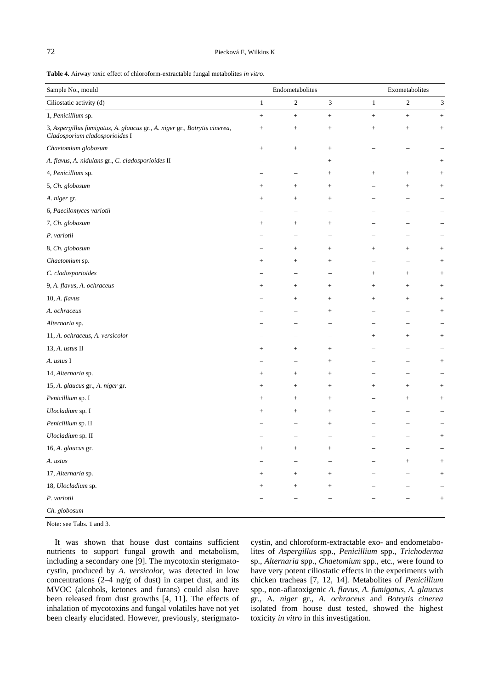## 72 Piecková E, Wilkins K

**Table 4.** Airway toxic effect of chloroform-extractable fungal metabolites *in vitro*.

| Sample No., mould                                                                                           | $\label{thm:subd} \textbf{Endometabolites}$ |                    |                          | Exometabolites  |            |                                   |  |
|-------------------------------------------------------------------------------------------------------------|---------------------------------------------|--------------------|--------------------------|-----------------|------------|-----------------------------------|--|
| Ciliostatic activity (d)                                                                                    | $\mathbf{1}$                                | $\overline{c}$     | 3                        | $\mathbf{1}$    | $\sqrt{2}$ | 3                                 |  |
| 1, Penicillium sp.                                                                                          | $+$                                         | $+$                | $\boldsymbol{+}$         | $+$             | $+$        | $^{+}$                            |  |
| 3, Aspergillus fumigatus, A. glaucus gr., A. niger gr., Botrytis cinerea,<br>Cladosporium cladosporioides I | $^{+}$                                      | $^{+}$             |                          | $\! + \!\!\!\!$ | $^+$       | $^{+}$                            |  |
| Chaetomium globosum                                                                                         | $\qquad \qquad +$                           | $^{+}$             | $\! + \!\!\!\!$          |                 |            |                                   |  |
| A. flavus, A. nidulans gr., C. cladosporioides II                                                           |                                             |                    | $\! + \!\!\!\!$          |                 |            | $\hspace{0.1mm} +\hspace{0.1mm}$  |  |
| 4, Penicillium sp.                                                                                          |                                             |                    | $\! + \!\!\!\!$          | $\! + \!\!\!\!$ | $\! +$     | $\hspace{0.1mm} +$                |  |
| 5, Ch. globosum                                                                                             | $^+$                                        | $^{+}$             | $\! + \!\!\!\!$          |                 | $^+$       | $^{+}$                            |  |
| A. niger gr.                                                                                                | $^+$                                        | $^{+}$             | $\! + \!\!\!\!$          |                 |            |                                   |  |
| 6, Paecilomyces variotii                                                                                    |                                             |                    | $\overline{\phantom{0}}$ |                 |            |                                   |  |
| 7, Ch. globosum                                                                                             | $^{+}$                                      | $^{+}$             | $\! + \!\!\!\!$          |                 |            |                                   |  |
| P. variotii                                                                                                 |                                             |                    | $\overline{\phantom{0}}$ |                 |            |                                   |  |
| 8, Ch. globosum                                                                                             |                                             | $\hspace{0.1mm} +$ | $\! + \!\!\!\!$          | $^{+}$          | $^{+}$     | $^{+}$                            |  |
| Chaetomium sp.                                                                                              | $^{+}$                                      | $^{+}$             | $\! + \!\!\!\!$          |                 |            | $^{+}$                            |  |
| C. cladosporioides                                                                                          |                                             |                    | $\overline{\phantom{0}}$ | $^{+}$          | $^{+}$     | $^{+}$                            |  |
| 9, A. flavus, A. ochraceus                                                                                  | $\hspace{0.1mm} +\hspace{0.1mm}$            | $^{+}$             | $\! + \!\!\!\!$          | $^{+}$          | $^{+}$     | $\hspace{0.1mm} +$                |  |
| $10, A.$ flavus                                                                                             |                                             | $\hspace{0.1mm} +$ | $\! + \!\!\!\!$          | $^{+}$          | $^{+}$     | $^{+}$                            |  |
| A. ochraceus                                                                                                |                                             |                    |                          |                 |            | $\hspace{1.0cm} + \hspace{1.0cm}$ |  |
| Alternaria sp.                                                                                              |                                             |                    |                          |                 |            |                                   |  |
| 11, A. ochraceus, A. versicolor                                                                             |                                             |                    |                          | $\! + \!\!\!\!$ | $^+$       | $^{+}$                            |  |
| 13, A. ustus II                                                                                             | $\hspace{0.1mm} +\hspace{0.1mm}$            | $^{+}$             | $\! + \!\!\!\!$          |                 |            |                                   |  |
| A. ustus I                                                                                                  |                                             |                    | $\! +$                   |                 |            |                                   |  |
| 14, Alternaria sp.                                                                                          | $^{+}$                                      | $^{+}$             |                          |                 |            |                                   |  |
| 15, A. glaucus gr., A. niger gr.                                                                            | $^{+}$                                      | $^{+}$             |                          | $^{+}$          | $^{+}$     | $^{+}$                            |  |
| Penicillium sp. I                                                                                           | $^+$                                        | $^{+}$             |                          |                 | $+$        | $\! + \!\!\!\!$                   |  |
| Ulocladium sp. I                                                                                            | $^+$                                        | $^{+}$             | $\! +$                   |                 |            |                                   |  |
| Penicillium sp. II                                                                                          |                                             |                    | $^{+}$                   |                 |            |                                   |  |
| Ulocladium sp. II                                                                                           |                                             |                    |                          |                 |            | $^{+}$                            |  |
| 16, A. glaucus gr.                                                                                          |                                             |                    |                          |                 |            |                                   |  |
| A. ustus                                                                                                    |                                             |                    |                          |                 | $^+$       | $^{+}$                            |  |
| 17, Alternaria sp.                                                                                          | $^+$                                        | $^{+}$             |                          |                 |            |                                   |  |
| 18, Ulocladium sp.                                                                                          |                                             | $^{+}$             | $^{+}$                   |                 |            |                                   |  |
| P. variotii                                                                                                 |                                             |                    |                          |                 |            | $\! + \!\!\!\!$                   |  |
| Ch. globosum                                                                                                |                                             |                    |                          |                 |            |                                   |  |

Note: see Tabs. 1 and 3.

It was shown that house dust contains sufficient nutrients to support fungal growth and metabolism, including a secondary one [9]. The mycotoxin sterigmatocystin, produced by *A. versicolor*, was detected in low concentrations  $(2-4 \text{ ng/g of dust})$  in carpet dust, and its MVOC (alcohols, ketones and furans) could also have been released from dust growths [4, 11]. The effects of inhalation of mycotoxins and fungal volatiles have not yet been clearly elucidated. However, previously, sterigmatocystin, and chloroform-extractable exo- and endometabolites of *Aspergillus* spp., *Penicillium* spp., *Trichoderma* sp., *Alternaria* spp., *Chaetomium* spp., etc., were found to have very potent ciliostatic effects in the experiments with chicken tracheas [7, 12, 14]. Metabolites of *Penicillium* spp., non-aflatoxigenic *A. flavus*, *A. fumigatus*, *A. glaucus* gr., A*. niger* gr., *A. ochraceus* and *Botrytis cinerea* isolated from house dust tested, showed the highest toxicity *in vitro* in this investigation.